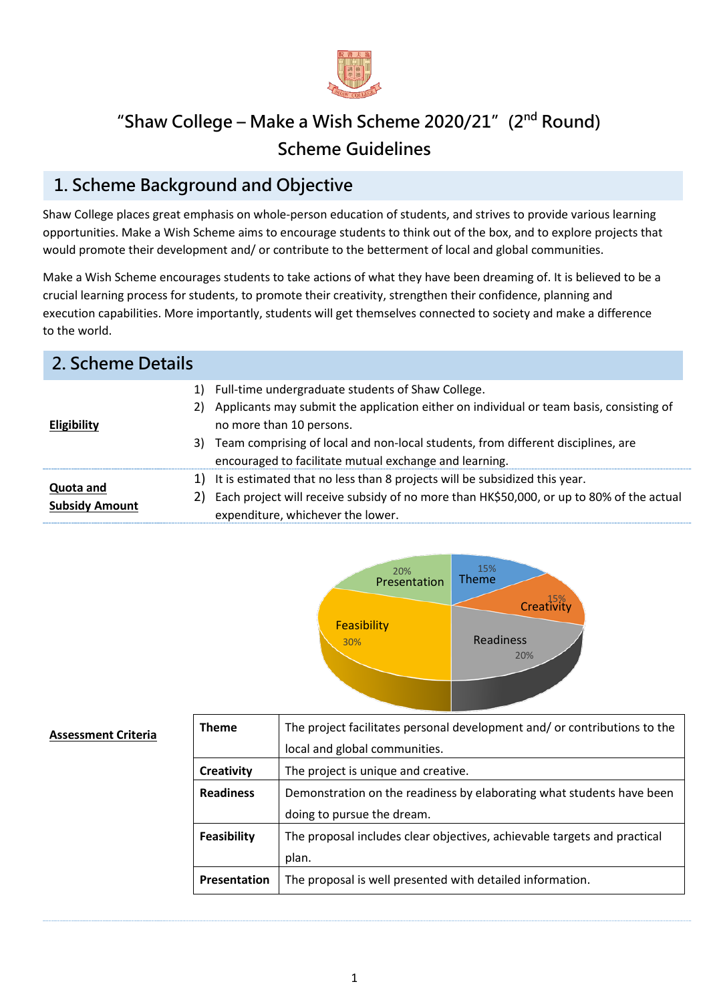

## **"Shaw College – Make a Wish Scheme 2020/21"(2nd Round) Scheme Guidelines**

## **1. Scheme Background and Objective**

Shaw College places great emphasis on whole-person education of students, and strives to provide various learning opportunities. Make a Wish Scheme aims to encourage students to think out of the box, and to explore projects that would promote their development and/ or contribute to the betterment of local and global communities.

Make a Wish Scheme encourages students to take actions of what they have been dreaming of. It is believed to be a crucial learning process for students, to promote their creativity, strengthen their confidence, planning and execution capabilities. More importantly, students will get themselves connected to society and make a difference to the world.

| 2. Scheme Details                  |    |                                                                                                                                                                                                                                                                                                                              |
|------------------------------------|----|------------------------------------------------------------------------------------------------------------------------------------------------------------------------------------------------------------------------------------------------------------------------------------------------------------------------------|
| <b>Eligibility</b>                 | 2) | 1) Full-time undergraduate students of Shaw College.<br>Applicants may submit the application either on individual or team basis, consisting of<br>no more than 10 persons.<br>3) Team comprising of local and non-local students, from different disciplines, are<br>encouraged to facilitate mutual exchange and learning. |
| Quota and<br><b>Subsidy Amount</b> | 2) | 1) It is estimated that no less than 8 projects will be subsidized this year.<br>Each project will receive subsidy of no more than HK\$50,000, or up to 80% of the actual<br>expenditure, whichever the lower.                                                                                                               |



#### **Assessment Criteria**

| <b>Theme</b>      | The project facilitates personal development and/or contributions to the |
|-------------------|--------------------------------------------------------------------------|
|                   | local and global communities.                                            |
| <b>Creativity</b> | The project is unique and creative.                                      |
| <b>Readiness</b>  | Demonstration on the readiness by elaborating what students have been    |
|                   | doing to pursue the dream.                                               |
| Feasibility       | The proposal includes clear objectives, achievable targets and practical |
|                   | plan.                                                                    |
| Presentation      | The proposal is well presented with detailed information.                |